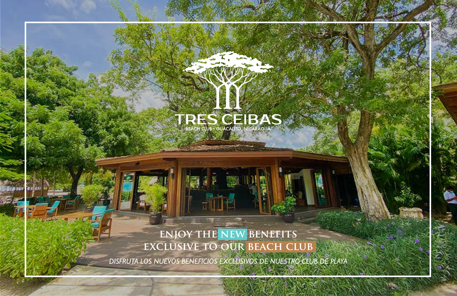# TRES CEIBAS

### **enjoy the new benefits exclusive to our beach club**

sehear.

*DISFRUTA LOS NUEVOS BENEFICIOS EXCLUSIVOS DE NUESTRO CLUB DE PLAYA*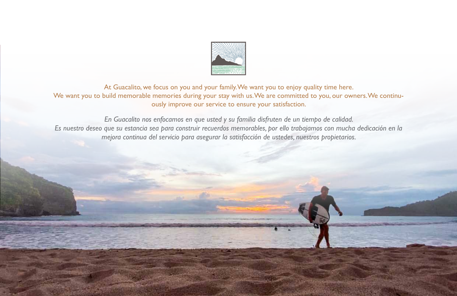

At Guacalito, we focus on you and your family. We want you to enjoy quality time here. We want you to build memorable memories during your stay with us. We are committed to you, our owners. We continuously improve our service to ensure your satisfaction.

*En Guacalito nos enfocamos en que usted y su familia disfruten de un tiempo de calidad. Es nuestro deseo que su estancia sea para construir recuerdos memorables, por ello trabajamos con mucha dedicación en la mejora continua del servicio para asegurar la satisfacción de ustedes, nuestros propietarios.*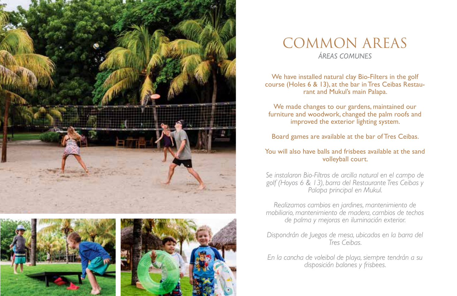





### COMMON AREAS *ÁREAS COMUNES*

We have installed natural clay Bio-Filters in the golf course (Holes 6 & 13), at the bar in Tres Ceibas Restaurant and Mukul's main Palapa.

We made changes to our gardens, maintained our furniture and woodwork, changed the palm roofs and improved the exterior lighting system.

Board games are available at the bar of Tres Ceibas.

#### You will also have balls and frisbees available at the sand volleyball court.

*Se instalaron Bio-Filtros de arcilla natural en el campo de golf (Hoyos 6 & 13), barra del Restaurante Tres Ceibas y Palapa principal en Mukul.* 

*Realizamos cambios en jardines, mantenimiento de mobiliario, mantenimiento de madera, cambios de techos de palma y mejoras en iluminación exterior.*

*Dispondrán de Juegos de mesa, ubicados en la barra del Tres Ceibas.* 

*En la cancha de voleibol de playa, siempre tendrán a su disposición balones y frisbees.*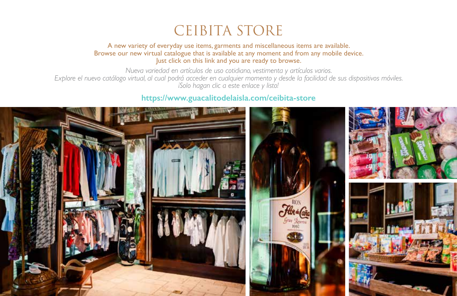## CEIBITA STORE

A new variety of everyday use items, garments and miscellaneous items are available. Browse our new virtual catalogue that is available at any moment and from any mobile device. Just click on this link and you are ready to browse.

*Nueva variedad en artículos de uso cotidiano, vestimenta y artículos varios.* 

*Explore el nuevo catálogo virtual, al cual podrá acceder en cualquier momento y desde la facilidad de sus dispositivos móviles. ¡Solo hagan clic a este enlace y listo!*

#### **https://www.guacalitodelaisla.com/ceibita-store**

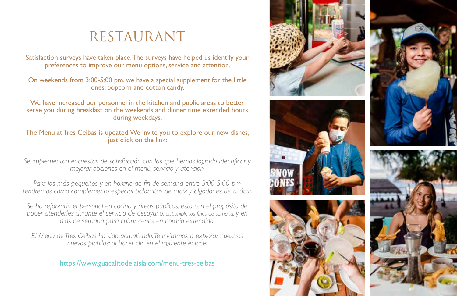## RESTAURANT

Satisfaction surveys have taken place. The surveys have helped us identify your preferences to improve our menu options, service and attention.

On weekends from 3:00-5:00 pm, we have a special supplement for the little ones: popcorn and cotton candy.

We have increased our personnel in the kitchen and public areas to better serve you during breakfast on the weekends and dinner time extended hours during weekdays.

The Menu at Tres Ceibas is updated. We invite you to explore our new dishes, just click on the link:

*Se implementan encuestas de satisfacción con las que hemos logrado identificar y mejorar opciones en el menú, servicio y atención.* 

*Para los más pequeños y en horario de fin de semana entre 3:00-5:00 pm tendremos como complemento especial palomitas de maíz y algodones de azúcar.* 

*Se ha reforzado el personal en cocina y áreas públicas, esto con el propósito de poder atenderles durante el servicio de desayuno, disponible los fines de semana, y en días de semana para cubrir cenas en horario extendido.*

*El Menú de Tres Ceibas ha sido actualizado. Te invitamos a explorar nuestros nuevos platillos; al hacer clic en el siguiente enlace:*

https://www.guacalitodelaisla.com/menu-tres-ceibas

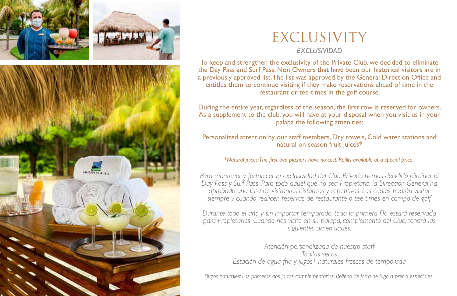





## EXCLUSIVITY

#### *EXCLUSIVIDAD*

To keep and strengthen the exclusivity of the Private Club, we decided to eliminate the Day Pass and Surf Pass. Non Owners that have been our historical visitors are in a previously approved list. The list was approved by the General Direction Office and entitles them to continue visiting if they make reservations ahead of time in the restaurant or tee-times in the golf course.

During the entire year, regardless of the season, the first row is reserved for owners. As a supplement to the club, you will have at your disposal when you visit us in your palapa the following amenities:

Personalized attention by our staff members, Dry towels, Cold water stations and natural on season fruit juices\*

\**Natural juices: The first two pitchers have no cost. Refills available at a special price..*

*Para mantener y fortalecer la exclusividad del Club Privado hemos decidido eliminar el Day Pass y Surf Pass. Para todo aquel que no sea Propietario, la Dirección General ha aprobado una lista de visitantes históricos y repetitivos. Los cuales podrán visitar siempre y cuando realicen reservas de restaurante o tee-times en campo de golf.* 

*Durante todo el año y sin importar temporada, toda la primera fila estará reservada para Propietarios. Cuando nos visite en su palapa, complemento del Club, tendrá las siguientes amenidades:*

> *Atención personalizada de nuestro staff Toallas secas Estación de agua fría y jugos\* naturales frescos de temporada*

*\*Jugos naturales: Las primeras dos jarras complementarias. Relleno de jarra de jugo a precio especiales.*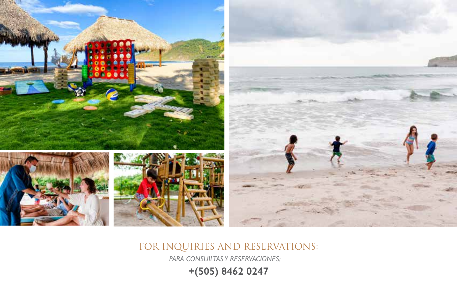

FOR INQUIRIES AND RESERVATIONS:

*PARA CONSUILTAS Y RESERVACIONES:*

**+(505) 8462 0247**